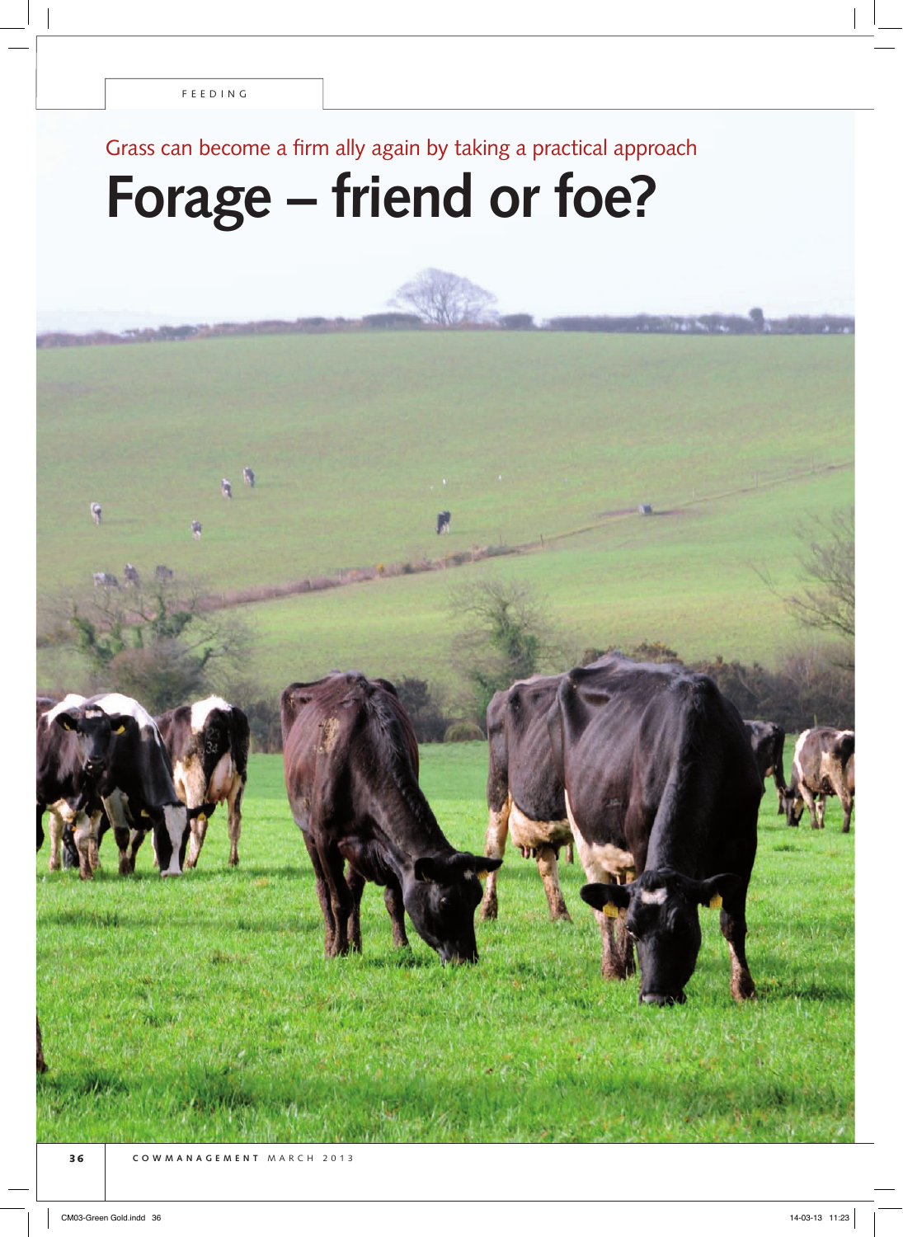# Grass can become a firm ally again by taking a practical approach

# **Forage – friend or foe?**